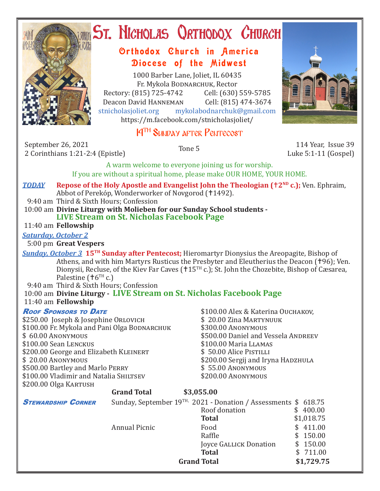

# **ST. NICHOLAS ORTHODOX CHURCH**

### Orthodox Church in America Diocese of the Midwest

1000 Barber Lane, Joliet, IL 60435 Fr. Mykola Bodnarchuk, Rector Rectory: (815) 725-4742 Cell: (630) 559-5785<br>Deacon David HANNEMAN Cell: (815) 474-3674 Deacon David Hanneman<br>stnicholasioliet.org mvk mykolabodnarchuk@gmail.com https://m.facebook.com/stnicholasjoliet/

### 14<sup>TH</sup> SUNDAY AFTER PENTECOST

September 26, 2021 2 September 26, 2021<br>2 Corinthians 1:21-2:4 (Epistle) Tone 5 114 Year, Issue 39

Luke 5:1-11 (Gospel)

A warm welcome to everyone joining us for worship. If you are without a spiritual home, please make OUR HOME, YOUR HOME.

#### *TODAY* **• Repose of the Holy Apostle and Evangelist John the Theologian (<sup>†2ND</sup> c.); Ven. Ephraim,** Abbot of Perekóp, Wonderworker of Novgorod (†1492). 9:40 am Third & Sixth Hours; Confession

10:00 am **Divine Liturgy with Molieben for our Sunday School students -**

## **LIVE Stream on St. Nicholas Facebook Page**

11:40 am **Fellowship**

### *Saturday, October 2*

5:00 pm **Great Vespers**

*Sunday, October 3* **15<sup>TH</sup> Sunday after Pentecost;** Hieromartyr Dionysius the Areopagite, Bishop of Athens, and with him Martyrs Rusticus the Presbyter and Eleutherius the Deacon (†96); Ven. Dionysii, Recluse, of the Kiev Far Caves ( $\text{+15}^{\text{TH}}$  c.); St. John the Chozebite, Bishop of Cæsarea, Palestine ( $\text{\texttt{t}}6^{\text{\texttt{TH}}}$  c.)

9:40 am Third & Sixth Hours; Confession

#### 10:00 am **Divine Liturgy - LIVE Stream on St. Nicholas Facebook Page** 11:40 am **Fellowship**

\$250.00 Joseph & Josephine Orlovich \$ 20.00 Zina MARTYN<br>\$100.00 Fr. Mykola and Pani Olga Bodnarchuk \$300.00 Anonymous \$100.00 Fr. Mykola and Pani Olga Bodnarchuk<br>\$100.00 Anonymous \$100.00 Sean Lenckus \$100.00 Maria Llamas \$200.00 George and Elizabeth KLEINERT<br>\$ 20.00 ANONYMOUS \$500.00 Bartley and Marlo PERRY \$ 55.00 ANONYMOUS<br>\$100.00 Vladimir and Natalia Shiltsev \$200.00 ANONYMOUS \$100.00 Vladimir and Natalia SHILTSEV \$200.00 Olga Kartush

**Roof Sponsors to Date** \$100.00 Alex & Katerina Ouchakov,<br>\$250.00 loseph & Iosephine Orlovich \$20.00 Zina Martynuuk \$500.00 Daniel and Vessela Andreev<br>\$100.00 Maria LLAMAS \$200.00 Sergij and Iryna HADZHULA<br>\$ 55.00 ANONYMOUS

|                           | <b>Grand Total</b>   | \$3,055.00                                                                  |                        |
|---------------------------|----------------------|-----------------------------------------------------------------------------|------------------------|
| <b>STEWARDSHIP CORNER</b> |                      | Sunday, September 19 <sup>TH,</sup> 2021 - Donation / Assessments \$ 618.75 |                        |
|                           |                      | Roof donation                                                               | 400.00<br><sup>S</sup> |
|                           |                      | <b>Total</b>                                                                | \$1,018.75             |
|                           | <b>Annual Picnic</b> | Food                                                                        | \$411.00               |
|                           |                      | Raffle                                                                      | \$150.00               |
|                           |                      | Joyce GALLICK Donation                                                      | \$150.00               |
|                           |                      | <b>Total</b>                                                                | \$711.00               |
|                           |                      | <b>Grand Total</b>                                                          | \$1,729.75             |